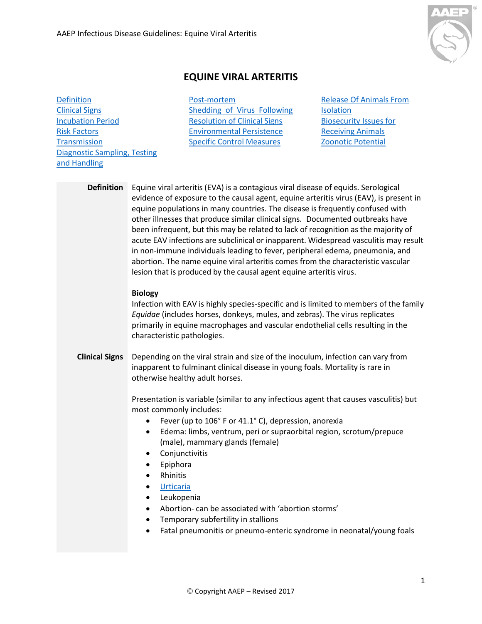

# **EQUINE VIRAL ARTERITIS**

| <b>Definition</b>                   |
|-------------------------------------|
| <b>Clinical Signs</b>               |
| <b>Incubation Period</b>            |
| <b>Risk Factors</b>                 |
| <b>Transmission</b>                 |
| <b>Diagnostic Sampling, Testing</b> |
| and Handling                        |

[Post-mortem](#page-2-0) [Shedding of Virus Following](#page-3-0)  [Resolution of Clinical Signs](#page-3-0) [Environmental Persistence](#page-3-1) [Specific Control Measures](#page-3-2)

[Release Of Animals From](#page-4-0)  **[Isolation](#page-4-0)** [Biosecurity Issues for](#page-5-0)  [Receiving Animals](#page-5-0) [Zoonotic Potential](#page-5-1)

## <span id="page-0-0"></span>**Definition** Equine viral arteritis (EVA) is a contagious viral disease of equids. Serological evidence of exposure to the causal agent, equine arteritis virus (EAV), is present in equine populations in many countries. The disease is frequently confused with other illnesses that produce similar clinical signs. Documented outbreaks have been infrequent, but this may be related to lack of recognition as the majority of acute EAV infections are subclinical or inapparent. Widespread vasculitis may result in non-immune individuals leading to fever, peripheral edema, pneumonia, and abortion. The name equine viral arteritis comes from the characteristic vascular lesion that is produced by the causal agent equine arteritis virus.

#### **Biology**

Infection with EAV is highly species-specific and is limited to members of the family *Equidae* (includes horses, donkeys, mules, and zebras). The virus replicates primarily in equine macrophages and vascular endothelial cells resulting in the characteristic pathologies.

<span id="page-0-1"></span>**Clinical Signs** Depending on the viral strain and size of the inoculum, infection can vary from inapparent to fulminant clinical disease in young foals. Mortality is rare in otherwise healthy adult horses.

> Presentation is variable (similar to any infectious agent that causes vasculitis) but most commonly includes:

- Fever (up to 106° F or 41.1° C), depression, anorexia
- Edema: limbs, ventrum, peri or supraorbital region, scrotum/prepuce (male), mammary glands (female)
- Conjunctivitis
- Epiphora
- Rhinitis
- [Urticaria](https://aaep.org/sites/default/files/Documents/Equine%20Viral%20Arteritis_Urticaria.pdf)
- Leukopenia
- Abortion- can be associated with 'abortion storms'
- Temporary subfertility in stallions
- Fatal pneumonitis or pneumo-enteric syndrome in neonatal/young foals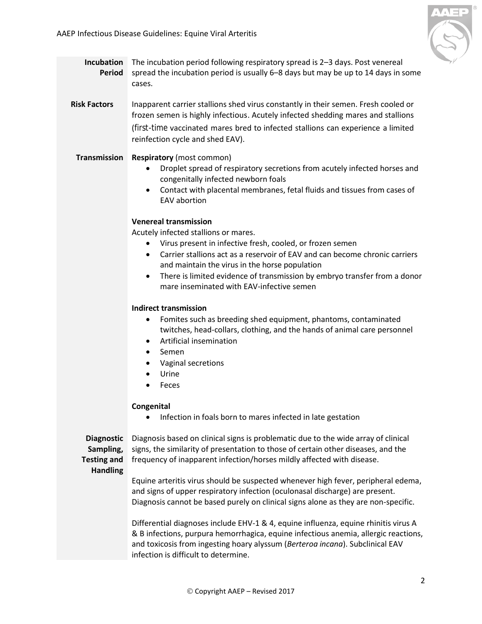

<span id="page-1-1"></span><span id="page-1-0"></span>

| <b>Incubation</b><br><b>Period</b>                                      | The incubation period following respiratory spread is 2-3 days. Post venereal<br>spread the incubation period is usually 6-8 days but may be up to 14 days in some<br>cases.                                                                                                                                                                                                                                             |  |  |
|-------------------------------------------------------------------------|--------------------------------------------------------------------------------------------------------------------------------------------------------------------------------------------------------------------------------------------------------------------------------------------------------------------------------------------------------------------------------------------------------------------------|--|--|
| <b>Risk Factors</b>                                                     | Inapparent carrier stallions shed virus constantly in their semen. Fresh cooled or<br>frozen semen is highly infectious. Acutely infected shedding mares and stallions<br>(first-time vaccinated mares bred to infected stallions can experience a limited<br>reinfection cycle and shed EAV).                                                                                                                           |  |  |
| <b>Transmission</b>                                                     | <b>Respiratory</b> (most common)<br>Droplet spread of respiratory secretions from acutely infected horses and<br>٠<br>congenitally infected newborn foals<br>Contact with placental membranes, fetal fluids and tissues from cases of<br>$\bullet$<br>EAV abortion                                                                                                                                                       |  |  |
|                                                                         | <b>Venereal transmission</b><br>Acutely infected stallions or mares.<br>• Virus present in infective fresh, cooled, or frozen semen<br>Carrier stallions act as a reservoir of EAV and can become chronic carriers<br>$\bullet$<br>and maintain the virus in the horse population<br>There is limited evidence of transmission by embryo transfer from a donor<br>$\bullet$<br>mare inseminated with EAV-infective semen |  |  |
|                                                                         | <b>Indirect transmission</b><br>Fomites such as breeding shed equipment, phantoms, contaminated<br>٠<br>twitches, head-collars, clothing, and the hands of animal care personnel<br>Artificial insemination<br>$\bullet$<br>Semen<br>$\bullet$<br>Vaginal secretions<br>Urine<br>Feces                                                                                                                                   |  |  |
|                                                                         | <b>Congenital</b><br>Infection in foals born to mares infected in late gestation<br>$\bullet$                                                                                                                                                                                                                                                                                                                            |  |  |
| <b>Diagnostic</b><br>Sampling,<br><b>Testing and</b><br><b>Handling</b> | Diagnosis based on clinical signs is problematic due to the wide array of clinical<br>signs, the similarity of presentation to those of certain other diseases, and the<br>frequency of inapparent infection/horses mildly affected with disease.                                                                                                                                                                        |  |  |
|                                                                         | Equine arteritis virus should be suspected whenever high fever, peripheral edema,<br>and signs of upper respiratory infection (oculonasal discharge) are present.<br>Diagnosis cannot be based purely on clinical signs alone as they are non-specific.                                                                                                                                                                  |  |  |
|                                                                         | Differential diagnoses include EHV-1 & 4, equine influenza, equine rhinitis virus A<br>& B infections, purpura hemorrhagica, equine infectious anemia, allergic reactions,<br>and toxicosis from ingesting hoary alyssum (Berteroa incana). Subclinical EAV<br>infection is difficult to determine.                                                                                                                      |  |  |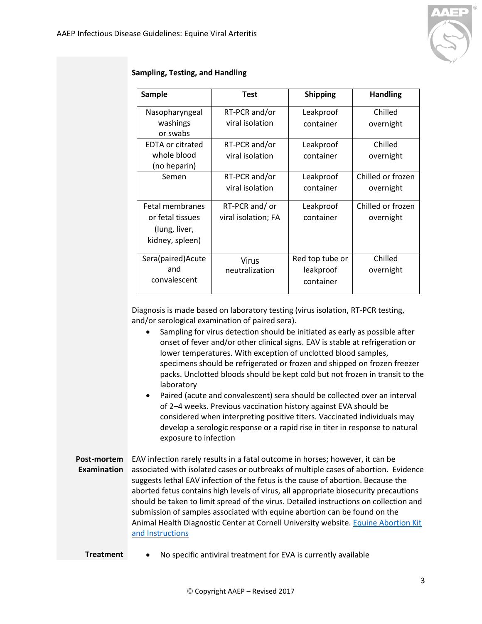

## **Sampling, Testing, and Handling**

| Sample                      | <b>Test</b>         | <b>Shipping</b> | <b>Handling</b>   |
|-----------------------------|---------------------|-----------------|-------------------|
| Nasopharyngeal              | RT-PCR and/or       | Leakproof       | Chilled           |
| washings<br>or swabs        | viral isolation     | container       | overnight         |
| <b>EDTA or citrated</b>     | RT-PCR and/or       | Leakproof       | Chilled           |
| whole blood<br>(no heparin) | viral isolation     | container       | overnight         |
| Semen                       | RT-PCR and/or       | Leakproof       | Chilled or frozen |
|                             | viral isolation     | container       | overnight         |
| Fetal membranes             | RT-PCR and/or       | Leakproof       | Chilled or frozen |
| or fetal tissues            | viral isolation; FA | container       | overnight         |
| (lung, liver,               |                     |                 |                   |
| kidney, spleen)             |                     |                 |                   |
| Sera(paired)Acute           | <b>Virus</b>        | Red top tube or | Chilled           |
| and                         | neutralization      | leakproof       | overnight         |
| convalescent                |                     | container       |                   |

Diagnosis is made based on laboratory testing (virus isolation, RT-PCR testing, and/or serological examination of paired sera).

- Sampling for virus detection should be initiated as early as possible after onset of fever and/or other clinical signs. EAV is stable at refrigeration or lower temperatures. With exception of unclotted blood samples, specimens should be refrigerated or frozen and shipped on frozen freezer packs. Unclotted bloods should be kept cold but not frozen in transit to the laboratory
- Paired (acute and convalescent) sera should be collected over an interval of 2–4 weeks. Previous vaccination history against EVA should be considered when interpreting positive titers. Vaccinated individuals may develop a serologic response or a rapid rise in titer in response to natural exposure to infection
- <span id="page-2-0"></span>Post-mortem EAV infection rarely results in a fatal outcome in horses; however, it can be **Examination** associated with isolated cases or outbreaks of multiple cases of abortion. Evidence suggests lethal EAV infection of the fetus is the cause of abortion. Because the aborted fetus contains high levels of virus, all appropriate biosecurity precautions should be taken to limit spread of the virus. Detailed instructions on collection and submission of samples associated with equine abortion can be found on the Animal Health Diagnostic Center at Cornell University website[. Equine Abortion Kit](https://ahdc.vet.cornell.edu/docs/Equine_Abortion_Kit_Instructions_Forms_and_Tests.pdf)  [and Instructions](https://ahdc.vet.cornell.edu/docs/Equine_Abortion_Kit_Instructions_Forms_and_Tests.pdf)
	- **Treatment** No specific antiviral treatment for EVA is currently available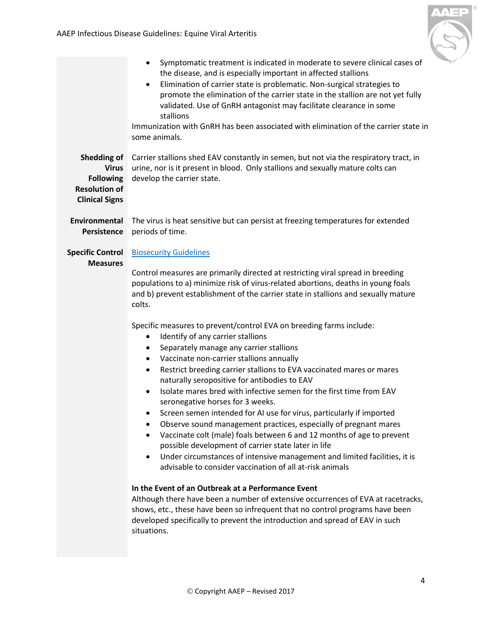

<span id="page-3-2"></span><span id="page-3-1"></span><span id="page-3-0"></span>

|                                                                                                  | Symptomatic treatment is indicated in moderate to severe clinical cases of<br>$\bullet$<br>the disease, and is especially important in affected stallions<br>Elimination of carrier state is problematic. Non-surgical strategies to<br>$\bullet$<br>promote the elimination of the carrier state in the stallion are not yet fully<br>validated. Use of GnRH antagonist may facilitate clearance in some<br>stallions<br>Immunization with GnRH has been associated with elimination of the carrier state in<br>some animals.                                                                                                                                                                                                                                                                                                                                                                                                                                                                                                                                                                                                                                                                                                                                                                                                                                                                                                                                                                                                                                           |
|--------------------------------------------------------------------------------------------------|--------------------------------------------------------------------------------------------------------------------------------------------------------------------------------------------------------------------------------------------------------------------------------------------------------------------------------------------------------------------------------------------------------------------------------------------------------------------------------------------------------------------------------------------------------------------------------------------------------------------------------------------------------------------------------------------------------------------------------------------------------------------------------------------------------------------------------------------------------------------------------------------------------------------------------------------------------------------------------------------------------------------------------------------------------------------------------------------------------------------------------------------------------------------------------------------------------------------------------------------------------------------------------------------------------------------------------------------------------------------------------------------------------------------------------------------------------------------------------------------------------------------------------------------------------------------------|
| Shedding of<br><b>Virus</b><br><b>Following</b><br><b>Resolution of</b><br><b>Clinical Signs</b> | Carrier stallions shed EAV constantly in semen, but not via the respiratory tract, in<br>urine, nor is it present in blood. Only stallions and sexually mature colts can<br>develop the carrier state.                                                                                                                                                                                                                                                                                                                                                                                                                                                                                                                                                                                                                                                                                                                                                                                                                                                                                                                                                                                                                                                                                                                                                                                                                                                                                                                                                                   |
| Environmental<br><b>Persistence</b>                                                              | The virus is heat sensitive but can persist at freezing temperatures for extended<br>periods of time.                                                                                                                                                                                                                                                                                                                                                                                                                                                                                                                                                                                                                                                                                                                                                                                                                                                                                                                                                                                                                                                                                                                                                                                                                                                                                                                                                                                                                                                                    |
| <b>Specific Control</b><br><b>Measures</b>                                                       | <b>Biosecurity Guidelines</b><br>Control measures are primarily directed at restricting viral spread in breeding<br>populations to a) minimize risk of virus-related abortions, deaths in young foals<br>and b) prevent establishment of the carrier state in stallions and sexually mature<br>colts.<br>Specific measures to prevent/control EVA on breeding farms include:<br>Identify of any carrier stallions<br>$\bullet$<br>Separately manage any carrier stallions<br>$\bullet$<br>Vaccinate non-carrier stallions annually<br>$\bullet$<br>Restrict breeding carrier stallions to EVA vaccinated mares or mares<br>$\bullet$<br>naturally seropositive for antibodies to EAV<br>Isolate mares bred with infective semen for the first time from EAV<br>seronegative horses for 3 weeks.<br>Screen semen intended for AI use for virus, particularly if imported<br>Observe sound management practices, especially of pregnant mares<br>Vaccinate colt (male) foals between 6 and 12 months of age to prevent<br>$\bullet$<br>possible development of carrier state later in life<br>Under circumstances of intensive management and limited facilities, it is<br>$\bullet$<br>advisable to consider vaccination of all at-risk animals<br>In the Event of an Outbreak at a Performance Event<br>Although there have been a number of extensive occurrences of EVA at racetracks,<br>shows, etc., these have been so infrequent that no control programs have been<br>developed specifically to prevent the introduction and spread of EAV in such<br>situations. |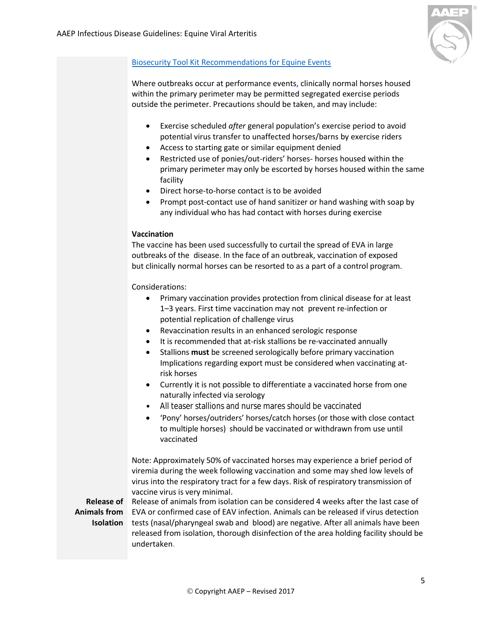

## [Biosecurity Tool Kit Recommendations for Equine Events](https://www.cdfa.ca.gov/ahfss/animal_health/pdfs/Biosecurity_Toolkit_Part_1.pdf)

Where outbreaks occur at performance events, clinically normal horses housed within the primary perimeter may be permitted segregated exercise periods outside the perimeter. Precautions should be taken, and may include:

- Exercise scheduled *after* general population's exercise period to avoid potential virus transfer to unaffected horses/barns by exercise riders
- Access to starting gate or similar equipment denied
- Restricted use of ponies/out-riders' horses- horses housed within the primary perimeter may only be escorted by horses housed within the same facility
- Direct horse-to-horse contact is to be avoided
- Prompt post-contact use of hand sanitizer or hand washing with soap by any individual who has had contact with horses during exercise

### **Vaccination**

The vaccine has been used successfully to curtail the spread of EVA in large outbreaks of the disease. In the face of an outbreak, vaccination of exposed but clinically normal horses can be resorted to as a part of a control program.

### Considerations:

- Primary vaccination provides protection from clinical disease for at least 1–3 years. First time vaccination may not prevent re-infection or potential replication of challenge virus
- Revaccination results in an enhanced serologic response
- It is recommended that at-risk stallions be re-vaccinated annually
- Stallions **must** be screened serologically before primary vaccination Implications regarding export must be considered when vaccinating atrisk horses
- Currently it is not possible to differentiate a vaccinated horse from one naturally infected via serology
- All teaser stallions and nurse mares should be vaccinated
- 'Pony' horses/outriders' horses/catch horses (or those with close contact to multiple horses) should be vaccinated or withdrawn from use until vaccinated

Note: Approximately 50% of vaccinated horses may experience a brief period of viremia during the week following vaccination and some may shed low levels of virus into the respiratory tract for a few days. Risk of respiratory transmission of vaccine virus is very minimal.

<span id="page-4-0"></span>Release of Release of animals from isolation can be considered 4 weeks after the last case of **Animals from**  EVA or confirmed case of EAV infection. Animals can be released if virus detection **Isolation** tests (nasal/pharyngeal swab and blood) are negative. After all animals have been released from isolation, thorough disinfection of the area holding facility should be undertaken.